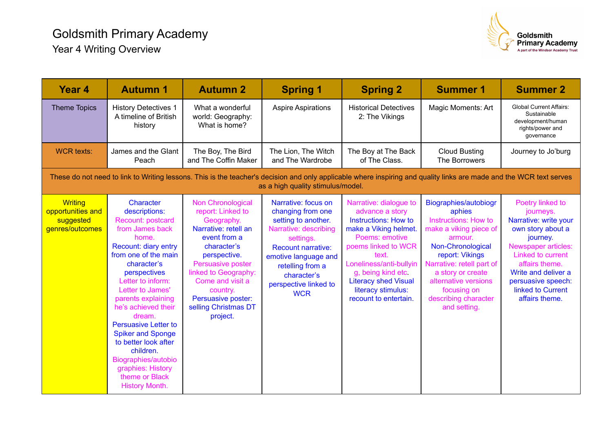

| <b>Year 4</b>                                                                                                                                                                                            | <b>Autumn 1</b>                                                                                                                                                                                                                                                                                                                                                                                                                                          | <b>Autumn 2</b>                                                                                                                                                                                                                                                    | <b>Spring 1</b>                                                                                                                                                                                                               | <b>Spring 2</b>                                                                                                                                                                                                                                                                   | <b>Summer 1</b>                                                                                                                                                                                                                                                              | <b>Summer 2</b>                                                                                                                                                                                                                           |  |  |  |  |
|----------------------------------------------------------------------------------------------------------------------------------------------------------------------------------------------------------|----------------------------------------------------------------------------------------------------------------------------------------------------------------------------------------------------------------------------------------------------------------------------------------------------------------------------------------------------------------------------------------------------------------------------------------------------------|--------------------------------------------------------------------------------------------------------------------------------------------------------------------------------------------------------------------------------------------------------------------|-------------------------------------------------------------------------------------------------------------------------------------------------------------------------------------------------------------------------------|-----------------------------------------------------------------------------------------------------------------------------------------------------------------------------------------------------------------------------------------------------------------------------------|------------------------------------------------------------------------------------------------------------------------------------------------------------------------------------------------------------------------------------------------------------------------------|-------------------------------------------------------------------------------------------------------------------------------------------------------------------------------------------------------------------------------------------|--|--|--|--|
| <b>Theme Topics</b>                                                                                                                                                                                      | <b>History Detectives 1</b><br>A timeline of British<br>history                                                                                                                                                                                                                                                                                                                                                                                          | What a wonderful<br>world: Geography:<br>What is home?                                                                                                                                                                                                             | <b>Aspire Aspirations</b>                                                                                                                                                                                                     | <b>Historical Detectives</b><br>2: The Vikings                                                                                                                                                                                                                                    | Magic Moments: Art                                                                                                                                                                                                                                                           | <b>Global Current Affairs:</b><br>Sustainable<br>development/human<br>rights/power and<br>governance                                                                                                                                      |  |  |  |  |
| <b>WCR texts:</b>                                                                                                                                                                                        | James and the Glant<br>Peach                                                                                                                                                                                                                                                                                                                                                                                                                             | The Boy, The Bird<br>and The Coffin Maker                                                                                                                                                                                                                          | The Lion, The Witch<br>and The Wardrobe                                                                                                                                                                                       | The Boy at The Back<br>of The Class.                                                                                                                                                                                                                                              | <b>Cloud Busting</b><br>The Borrowers                                                                                                                                                                                                                                        | Journey to Jo'burg                                                                                                                                                                                                                        |  |  |  |  |
| These do not need to link to Writing lessons. This is the teacher's decision and only applicable where inspiring and quality links are made and the WCR text serves<br>as a high quality stimulus/model. |                                                                                                                                                                                                                                                                                                                                                                                                                                                          |                                                                                                                                                                                                                                                                    |                                                                                                                                                                                                                               |                                                                                                                                                                                                                                                                                   |                                                                                                                                                                                                                                                                              |                                                                                                                                                                                                                                           |  |  |  |  |
| <b>Writing</b><br>opportunities and<br>suggested<br>genres/outcomes                                                                                                                                      | Character<br>descriptions:<br>Recount: postcard<br>from James back<br>home.<br><b>Recount: diary entry</b><br>from one of the main<br>character's<br>perspectives<br>Letter to inform:<br>Letter to James'<br>parents explaining<br>he's achieved their<br>dream.<br><b>Persuasive Letter to</b><br><b>Spiker and Sponge</b><br>to better look after<br>children.<br>Biographies/autobio<br>graphies: History<br>theme or Black<br><b>History Month.</b> | Non Chronological<br>report: Linked to<br>Geography.<br>Narrative: retell an<br>event from a<br>character's<br>perspective.<br>Persuasive poster<br>linked to Geography:<br>Come and visit a<br>country.<br>Persuasive poster:<br>selling Christmas DT<br>project. | Narrative: focus on<br>changing from one<br>setting to another.<br>Narrative: describing<br>settings.<br>Recount narrative:<br>emotive language and<br>retelling from a<br>character's<br>perspective linked to<br><b>WCR</b> | Narrative: dialogue to<br>advance a story<br><b>Instructions: How to</b><br>make a Viking helmet.<br>Poems: emotive<br>poems linked to WCR<br>text.<br>Loneliness/anti-bullyin<br>g, being kind etc<br><b>Literacy shed Visual</b><br>literacy stimulus:<br>recount to entertain. | Biographies/autobiogr<br>aphies<br><b>Instructions: How to</b><br>make a viking piece of<br>armour.<br>Non-Chronological<br>report: Vikings<br>Narrative: retell part of<br>a story or create<br>alternative versions<br>focusing on<br>describing character<br>and setting. | Poetry linked to<br>journeys.<br>Narrative: write your<br>own story about a<br>journey.<br>Newspaper articles:<br>Linked to current<br>affairs theme.<br>Write and deliver a<br>persuasive speech:<br>linked to Current<br>affairs theme. |  |  |  |  |